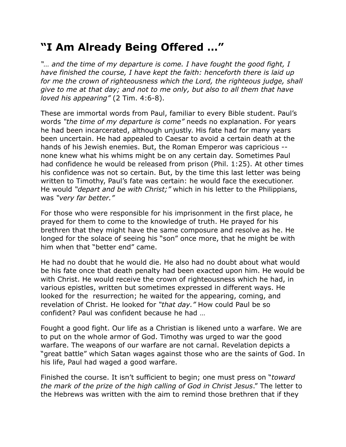## **"I Am Already Being Offered …"**

*"… and the time of my departure is come. I have fought the good fight, I have finished the course, I have kept the faith: henceforth there is laid up for me the crown of righteousness which the Lord, the righteous judge, shall give to me at that day; and not to me only, but also to all them that have loved his appearing"* (2 Tim. 4:6-8).

These are immortal words from Paul, familiar to every Bible student. Paul's words *"the time of my departure is come"* needs no explanation. For years he had been incarcerated, although unjustly. His fate had for many years been uncertain. He had appealed to Caesar to avoid a certain death at the hands of his Jewish enemies. But, the Roman Emperor was capricious - none knew what his whims might be on any certain day. Sometimes Paul had confidence he would be released from prison (Phil. 1:25). At other times his confidence was not so certain. But, by the time this last letter was being written to Timothy, Paul's fate was certain: he would face the executioner. He would *"depart and be with Christ;"* which in his letter to the Philippians, was *"very far better."*

For those who were responsible for his imprisonment in the first place, he prayed for them to come to the knowledge of truth. He prayed for his brethren that they might have the same composure and resolve as he. He longed for the solace of seeing his "son" once more, that he might be with him when that "better end" came.

He had no doubt that he would die. He also had no doubt about what would be his fate once that death penalty had been exacted upon him. He would be with Christ. He would receive the crown of righteousness which he had, in various epistles, written but sometimes expressed in different ways. He looked for the resurrection; he waited for the appearing, coming, and revelation of Christ. He looked for *"that day."* How could Paul be so confident? Paul was confident because he had …

Fought a good fight. Our life as a Christian is likened unto a warfare. We are to put on the whole armor of God. Timothy was urged to war the good warfare. The weapons of our warfare are not carnal. Revelation depicts a "great battle" which Satan wages against those who are the saints of God. In his life, Paul had waged a good warfare.

Finished the course. It isn't sufficient to begin; one must press on "*toward the mark of the prize of the high calling of God in Christ Jesus*." The letter to the Hebrews was written with the aim to remind those brethren that if they